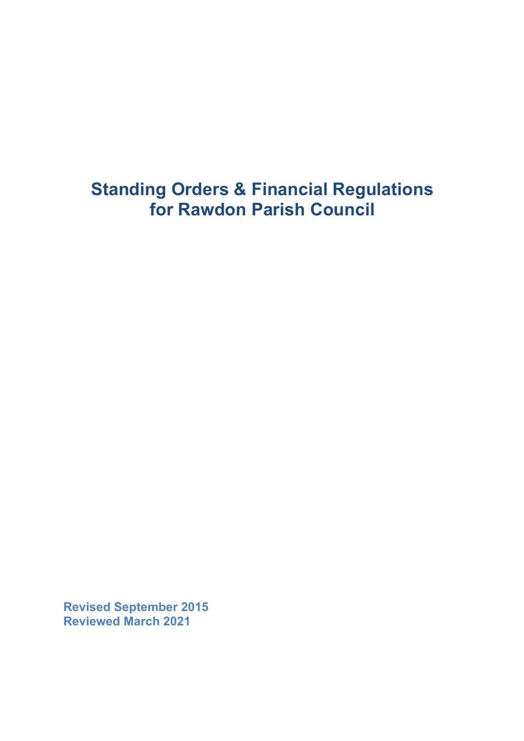# **Standing Orders & Financial Regulations for Rawdon Parish Council**

**Revised September 2015 Reviewed March 2021**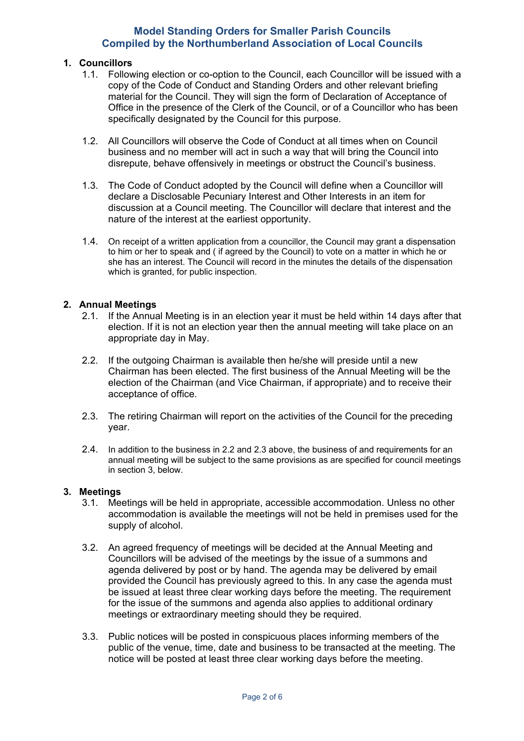## **1. Councillors**

- 1.1. Following election or co-option to the Council, each Councillor will be issued with a copy of the Code of Conduct and Standing Orders and other relevant briefing material for the Council. They will sign the form of Declaration of Acceptance of Office in the presence of the Clerk of the Council, or of a Councillor who has been specifically designated by the Council for this purpose.
- 1.2. All Councillors will observe the Code of Conduct at all times when on Council business and no member will act in such a way that will bring the Council into disrepute, behave offensively in meetings or obstruct the Council's business.
- 1.3. The Code of Conduct adopted by the Council will define when a Councillor will declare a Disclosable Pecuniary Interest and Other Interests in an item for discussion at a Council meeting. The Councillor will declare that interest and the nature of the interest at the earliest opportunity.
- 1.4. On receipt of a written application from a councillor, the Council may grant a dispensation to him or her to speak and ( if agreed by the Council) to vote on a matter in which he or she has an interest. The Council will record in the minutes the details of the dispensation which is granted, for public inspection.

# **2. Annual Meetings**

- 2.1. If the Annual Meeting is in an election year it must be held within 14 days after that election. If it is not an election year then the annual meeting will take place on an appropriate day in May.
- 2.2. If the outgoing Chairman is available then he/she will preside until a new Chairman has been elected. The first business of the Annual Meeting will be the election of the Chairman (and Vice Chairman, if appropriate) and to receive their acceptance of office.
- 2.3. The retiring Chairman will report on the activities of the Council for the preceding year.
- 2.4. In addition to the business in 2.2 and 2.3 above, the business of and requirements for an annual meeting will be subject to the same provisions as are specified for council meetings in section 3, below.

## **3. Meetings**

- 3.1. Meetings will be held in appropriate, accessible accommodation. Unless no other accommodation is available the meetings will not be held in premises used for the supply of alcohol.
- 3.2. An agreed frequency of meetings will be decided at the Annual Meeting and Councillors will be advised of the meetings by the issue of a summons and agenda delivered by post or by hand. The agenda may be delivered by email provided the Council has previously agreed to this. In any case the agenda must be issued at least three clear working days before the meeting. The requirement for the issue of the summons and agenda also applies to additional ordinary meetings or extraordinary meeting should they be required.
- 3.3. Public notices will be posted in conspicuous places informing members of the public of the venue, time, date and business to be transacted at the meeting. The notice will be posted at least three clear working days before the meeting.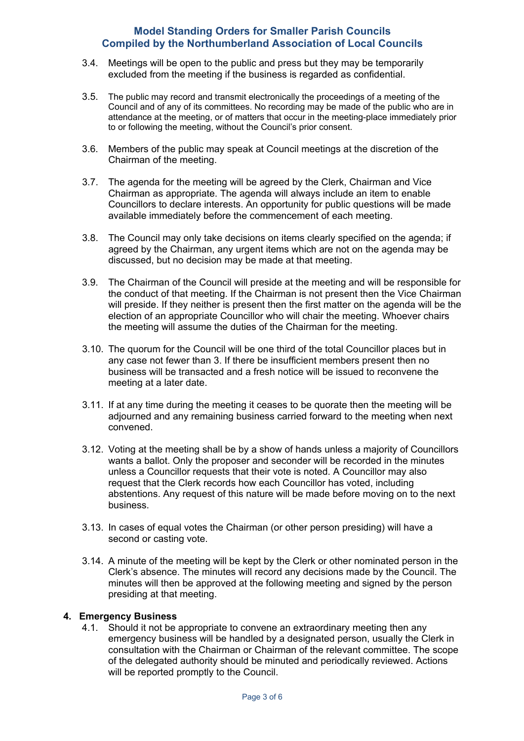- 3.4. Meetings will be open to the public and press but they may be temporarily excluded from the meeting if the business is regarded as confidential.
- 3.5. The public may record and transmit electronically the proceedings of a meeting of the Council and of any of its committees. No recording may be made of the public who are in attendance at the meeting, or of matters that occur in the meeting-place immediately prior to or following the meeting, without the Council's prior consent.
- 3.6. Members of the public may speak at Council meetings at the discretion of the Chairman of the meeting.
- 3.7. The agenda for the meeting will be agreed by the Clerk, Chairman and Vice Chairman as appropriate. The agenda will always include an item to enable Councillors to declare interests. An opportunity for public questions will be made available immediately before the commencement of each meeting.
- 3.8. The Council may only take decisions on items clearly specified on the agenda; if agreed by the Chairman, any urgent items which are not on the agenda may be discussed, but no decision may be made at that meeting.
- 3.9. The Chairman of the Council will preside at the meeting and will be responsible for the conduct of that meeting. If the Chairman is not present then the Vice Chairman will preside. If they neither is present then the first matter on the agenda will be the election of an appropriate Councillor who will chair the meeting. Whoever chairs the meeting will assume the duties of the Chairman for the meeting.
- 3.10. The quorum for the Council will be one third of the total Councillor places but in any case not fewer than 3. If there be insufficient members present then no business will be transacted and a fresh notice will be issued to reconvene the meeting at a later date.
- 3.11. If at any time during the meeting it ceases to be quorate then the meeting will be adjourned and any remaining business carried forward to the meeting when next convened.
- 3.12. Voting at the meeting shall be by a show of hands unless a majority of Councillors wants a ballot. Only the proposer and seconder will be recorded in the minutes unless a Councillor requests that their vote is noted. A Councillor may also request that the Clerk records how each Councillor has voted, including abstentions. Any request of this nature will be made before moving on to the next business.
- 3.13. In cases of equal votes the Chairman (or other person presiding) will have a second or casting vote.
- 3.14. A minute of the meeting will be kept by the Clerk or other nominated person in the Clerk's absence. The minutes will record any decisions made by the Council. The minutes will then be approved at the following meeting and signed by the person presiding at that meeting.

## **4. Emergency Business**

4.1. Should it not be appropriate to convene an extraordinary meeting then any emergency business will be handled by a designated person, usually the Clerk in consultation with the Chairman or Chairman of the relevant committee. The scope of the delegated authority should be minuted and periodically reviewed. Actions will be reported promptly to the Council.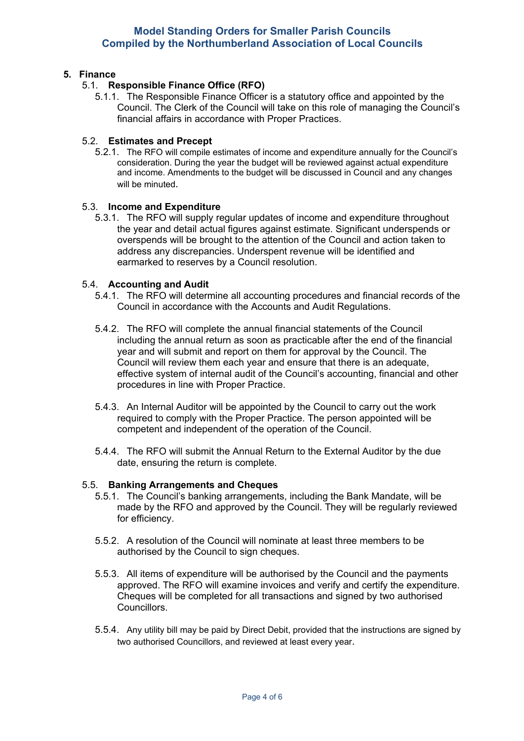# **5. Finance**

# 5.1. **Responsible Finance Office (RFO)**

5.1.1. The Responsible Finance Officer is a statutory office and appointed by the Council. The Clerk of the Council will take on this role of managing the Council's financial affairs in accordance with Proper Practices.

# 5.2. **Estimates and Precept**

5.2.1. The RFO will compile estimates of income and expenditure annually for the Council's consideration. During the year the budget will be reviewed against actual expenditure and income. Amendments to the budget will be discussed in Council and any changes will be minuted.

## 5.3. **Income and Expenditure**

5.3.1. The RFO will supply regular updates of income and expenditure throughout the year and detail actual figures against estimate. Significant underspends or overspends will be brought to the attention of the Council and action taken to address any discrepancies. Underspent revenue will be identified and earmarked to reserves by a Council resolution.

# 5.4. **Accounting and Audit**

- 5.4.1. The RFO will determine all accounting procedures and financial records of the Council in accordance with the Accounts and Audit Regulations.
- 5.4.2. The RFO will complete the annual financial statements of the Council including the annual return as soon as practicable after the end of the financial year and will submit and report on them for approval by the Council. The Council will review them each year and ensure that there is an adequate, effective system of internal audit of the Council's accounting, financial and other procedures in line with Proper Practice.
- 5.4.3. An Internal Auditor will be appointed by the Council to carry out the work required to comply with the Proper Practice. The person appointed will be competent and independent of the operation of the Council.
- 5.4.4. The RFO will submit the Annual Return to the External Auditor by the due date, ensuring the return is complete.

## 5.5. **Banking Arrangements and Cheques**

- 5.5.1. The Council's banking arrangements, including the Bank Mandate, will be made by the RFO and approved by the Council. They will be regularly reviewed for efficiency.
- 5.5.2. A resolution of the Council will nominate at least three members to be authorised by the Council to sign cheques.
- 5.5.3. All items of expenditure will be authorised by the Council and the payments approved. The RFO will examine invoices and verify and certify the expenditure. Cheques will be completed for all transactions and signed by two authorised Councillors.
- 5.5.4. Any utility bill may be paid by Direct Debit, provided that the instructions are signed by two authorised Councillors, and reviewed at least every year.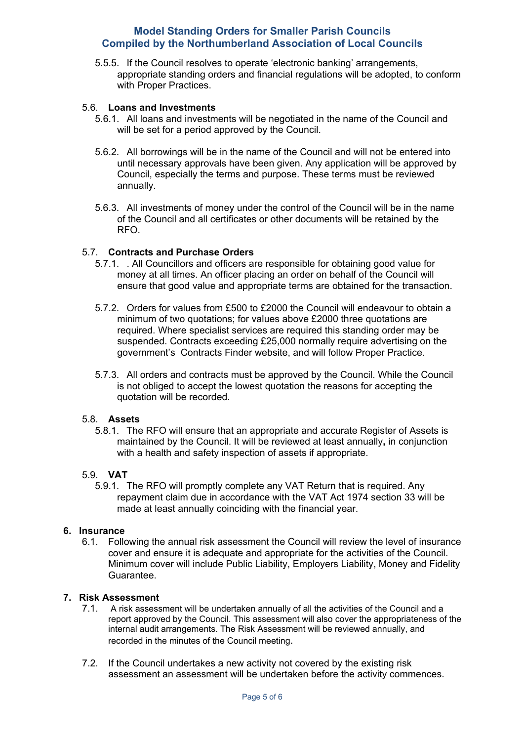5.5.5. If the Council resolves to operate 'electronic banking' arrangements, appropriate standing orders and financial regulations will be adopted, to conform with Proper Practices.

#### 5.6. **Loans and Investments**

- 5.6.1. All loans and investments will be negotiated in the name of the Council and will be set for a period approved by the Council.
- 5.6.2. All borrowings will be in the name of the Council and will not be entered into until necessary approvals have been given. Any application will be approved by Council, especially the terms and purpose. These terms must be reviewed annually.
- 5.6.3. All investments of money under the control of the Council will be in the name of the Council and all certificates or other documents will be retained by the RFO.

# 5.7. **Contracts and Purchase Orders**

- 5.7.1. . All Councillors and officers are responsible for obtaining good value for money at all times. An officer placing an order on behalf of the Council will ensure that good value and appropriate terms are obtained for the transaction.
- 5.7.2. Orders for values from £500 to £2000 the Council will endeavour to obtain a minimum of two quotations; for values above £2000 three quotations are required. Where specialist services are required this standing order may be suspended. Contracts exceeding £25,000 normally require advertising on the government's Contracts Finder website, and will follow Proper Practice.
- 5.7.3. All orders and contracts must be approved by the Council. While the Council is not obliged to accept the lowest quotation the reasons for accepting the quotation will be recorded.

#### 5.8. **Assets**

5.8.1. The RFO will ensure that an appropriate and accurate Register of Assets is maintained by the Council. It will be reviewed at least annually**,** in conjunction with a health and safety inspection of assets if appropriate.

#### 5.9. **VAT**

5.9.1. The RFO will promptly complete any VAT Return that is required. Any repayment claim due in accordance with the VAT Act 1974 section 33 will be made at least annually coinciding with the financial year.

#### **6. Insurance**

6.1. Following the annual risk assessment the Council will review the level of insurance cover and ensure it is adequate and appropriate for the activities of the Council. Minimum cover will include Public Liability, Employers Liability, Money and Fidelity Guarantee.

#### **7. Risk Assessment**

- 7.1. A risk assessment will be undertaken annually of all the activities of the Council and a report approved by the Council. This assessment will also cover the appropriateness of the internal audit arrangements. The Risk Assessment will be reviewed annually, and recorded in the minutes of the Council meeting.
- 7.2. If the Council undertakes a new activity not covered by the existing risk assessment an assessment will be undertaken before the activity commences.